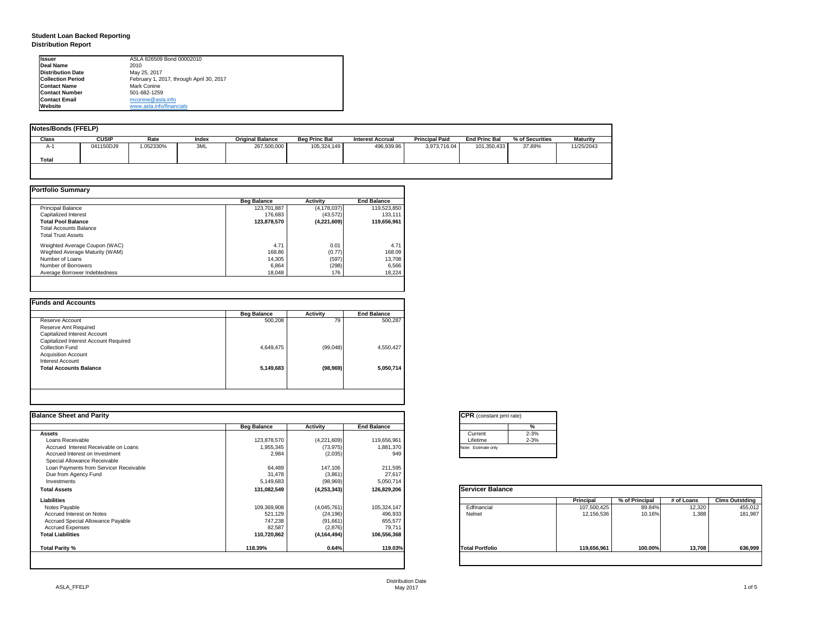| tant pmt rate) |          |
|----------------|----------|
|                | %        |
|                | $2 - 3%$ |
|                | $2 - 3%$ |
| only           |          |
|                |          |

|     | <b>Principal</b> | % of Principal | # of Loans | <b>Clms Outstding</b> |
|-----|------------------|----------------|------------|-----------------------|
|     | 107,500,425      | 89.84%         | 12,320     | 455,012               |
|     | 12,156,536       | 10.16%         | 1,388      | 181,987               |
|     |                  |                |            |                       |
| lio | 119,656,961      | 100.00%        | 13,708     | 636,999               |

Distribution Date

# **Student Loan Backed Reporting Distribution Report**

| <b>Notes/Bonds (FFELP)</b> |              |            |       |                         |                      |                  |                       |                      |                 |                 |  |  |  |
|----------------------------|--------------|------------|-------|-------------------------|----------------------|------------------|-----------------------|----------------------|-----------------|-----------------|--|--|--|
| <b>Class</b>               | <b>CUSIP</b> | Rate       | Index | <b>Original Balance</b> | <b>Beg Princ Bal</b> | Interest Accrual | <b>Principal Paid</b> | <b>End Princ Bal</b> | % of Securities | <b>Maturity</b> |  |  |  |
| $A-1$                      | 041150DJ9    | $052330\%$ | 3ML   | 267,500,000             | 105,324,149          | 496,939.96       | 3,973,716.04          | 101,350,433          | 37.89%          | 11/25/2043      |  |  |  |
| <b>Total</b>               |              |            |       |                         |                      |                  |                       |                      |                 |                 |  |  |  |
|                            |              |            |       |                         |                      |                  |                       |                      |                 |                 |  |  |  |

| <b>Portfolio Summary</b>       |                    |                 |                    |
|--------------------------------|--------------------|-----------------|--------------------|
|                                | <b>Beg Balance</b> | <b>Activity</b> | <b>End Balance</b> |
| <b>Principal Balance</b>       | 123,701,887        | (4, 178, 037)   | 119,523,850        |
| Capitalized Interest           | 176,683            | (43, 572)       | 133,111            |
| <b>Total Pool Balance</b>      | 123,878,570        | (4,221,609)     | 119,656,961        |
| <b>Total Accounts Balance</b>  |                    |                 |                    |
| <b>Total Trust Assets</b>      |                    |                 |                    |
| Weighted Average Coupon (WAC)  | 4.71               | 0.01            | 4.71               |
| Weghted Average Maturity (WAM) | 168.86             | (0.77)          | 168.09             |
| Number of Loans                | 14,305             | (597)           | 13,708             |
| Number of Borrowers            | 6,864              | (298)           | 6,566              |
| Average Borrower Indebtedness  | 18,048             | 176             | 18,224             |

| 500,208   | 79        | 500,287   |
|-----------|-----------|-----------|
|           |           |           |
|           |           |           |
|           |           |           |
|           |           |           |
| 4,649,475 | (99,048)  | 4,550,427 |
|           |           |           |
|           |           |           |
| 5,149,683 | (98, 969) | 5,050,714 |
|           |           |           |
|           |           |           |
|           |           |           |

| Ilssuer                   | ASLA 826509 Bond 00002010                |
|---------------------------|------------------------------------------|
| Deal Name                 | 2010                                     |
| <b>IDistribution Date</b> | May 25, 2017                             |
| <b>Collection Period</b>  | February 1, 2017, through April 30, 2017 |
| <b>IContact Name</b>      | Mark Conine                              |
| <b>IContact Number</b>    | 501-682-1259                             |
| <b>IContact Email</b>     | mconine@asla.info                        |
| <b>IWebsite</b>           | www.asla.info/financials                 |

| <b>Balance Sheet and Parity</b>          |                    |                 |                    | <b>CPR</b> (constant pmt rate) |          |                  |                |            |                       |
|------------------------------------------|--------------------|-----------------|--------------------|--------------------------------|----------|------------------|----------------|------------|-----------------------|
|                                          | <b>Beg Balance</b> | <b>Activity</b> | <b>End Balance</b> |                                | ℅        |                  |                |            |                       |
| <b>Assets</b>                            |                    |                 |                    | Current                        | $2 - 3%$ |                  |                |            |                       |
| Loans Receivable                         | 123,878,570        | (4,221,609)     | 119,656,961        | Lifetime                       | $2 - 3%$ |                  |                |            |                       |
| Accrued Interest Receivable on Loans     | 1,955,345          | (73, 975)       | 1,881,370          | Note: Estimate only            |          |                  |                |            |                       |
| Accrued Interest on Investment           | 2,984              | (2,035)         | 949                |                                |          |                  |                |            |                       |
| Special Allowance Receivable             |                    |                 |                    |                                |          |                  |                |            |                       |
| Loan Payments from Servicer Receivable   | 64,489             | 147,106         | 211,595            |                                |          |                  |                |            |                       |
| Due from Agency Fund                     | 31,478             | (3,861)         | 27,617             |                                |          |                  |                |            |                       |
| Investments                              | 5,149,683          | (98, 969)       | 5,050,714          |                                |          |                  |                |            |                       |
| <b>Total Assets</b>                      | 131,082,549        | (4, 253, 343)   | 126,829,206        | <b>Servicer Balance</b>        |          |                  |                |            |                       |
| <b>Liabilities</b>                       |                    |                 |                    |                                |          | <b>Principal</b> | % of Principal | # of Loans | <b>Clms Outstding</b> |
| Notes Payable                            | 109,369,908        | (4,045,761)     | 105,324,147        | Edfinancial                    |          | 107,500,425      | 89.84%         | 12,320     | 455,012               |
| Accrued Interest on Notes                | 521,129            | (24, 196)       | 496,933            | Nelnet                         |          | 12,156,536       | 10.16%         | 1,388      | 181,987               |
| <b>Accrued Special Allowance Payable</b> | 747,238            | (91, 661)       | 655,577            |                                |          |                  |                |            |                       |
| <b>Accrued Expenses</b>                  | 82,587             | (2,876)         | 79,711             |                                |          |                  |                |            |                       |
| <b>Total Liabilities</b>                 | 110,720,862        | (4, 164, 494)   | 106,556,368        |                                |          |                  |                |            |                       |
| <b>Total Parity %</b>                    | 118.39%            | 0.64%           | 119.03%            | <b>Total Portfolio</b>         |          | 119,656,961      | 100.00%        | 13,708     | 636,999               |

| CPR (con            |
|---------------------|
|                     |
| Current<br>Lifetime |
| Note: Estimat       |
|                     |

| Servicei |  |
|----------|--|
|          |  |
|          |  |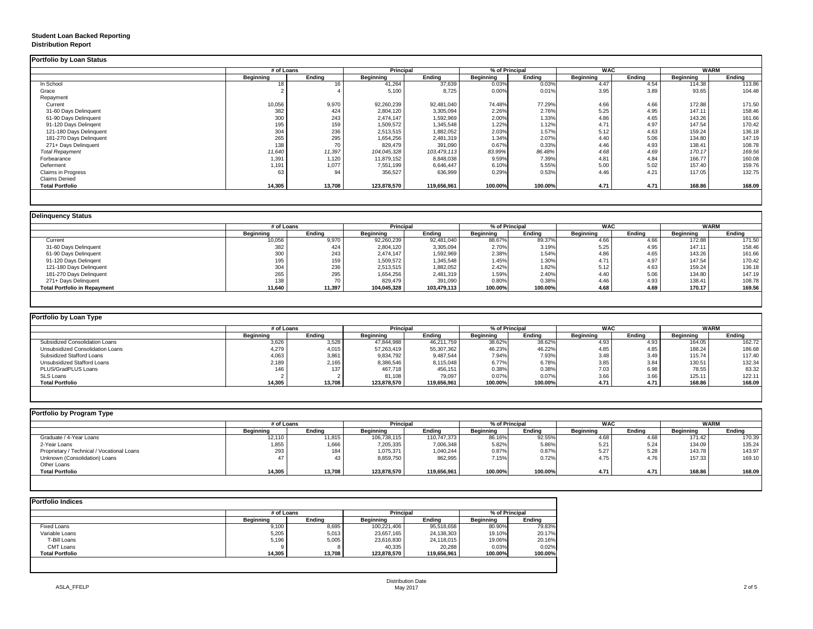# **Student Loan Backed Reporting Distribution Report**

## **Delinquency Status**

|                           |                  | # of Loans    |                  | <b>Principal</b> |                  | % of Principal |                  | <b>WAC</b>    |                  | <b>WARM</b>   |  |
|---------------------------|------------------|---------------|------------------|------------------|------------------|----------------|------------------|---------------|------------------|---------------|--|
|                           | <b>Beginning</b> | <b>Ending</b> | <b>Beginning</b> | <b>Ending</b>    | <b>Beginning</b> | <b>Ending</b>  | <b>Beginning</b> | <b>Ending</b> | <b>Beginning</b> | <b>Ending</b> |  |
| In School                 | 18               | $16$ .        | 41,264           | 37,639           | 0.03%            | 0.03%          | 4.47             | 4.54          | 114.38           | 113.86        |  |
| Grace                     |                  |               | 5,100            | 8,725            | 0.00%            | 0.01%          | 3.95             | 3.89          | 93.65            | 104.48        |  |
| Repayment                 |                  |               |                  |                  |                  |                |                  |               |                  |               |  |
| Current                   | 10,056           | 9,970         | 92,260,239       | 92,481,040       | 74.48%           | 77.29%         | 4.66             | 4.66          | 172.88           | 171.50        |  |
| 31-60 Days Delinquent     | 382              | 424           | 2,804,120        | 3,305,094        | 2.26%            | 2.76%          | 5.25             | 4.95          | 147.11           | 158.46        |  |
| 61-90 Days Delinquent     | 300              | 243           | 2,474,147        | 1,592,969        | 2.00%            | 1.33%          | 4.86             | 4.65          | 143.26           | 161.66        |  |
| 91-120 Days Delingent     | 195              | 159           | 1,509,572        | 1,345,548        | 1.22%            | 1.12%          | 4.71             | 4.97          | 147.54           | 170.42        |  |
| 121-180 Days Delinquent   | 304              | 236           | 2,513,515        | 1,882,052        | 2.03%            | 1.57%          | 5.12             | 4.63          | 159.24           | 136.18        |  |
| 181-270 Days Delinquent   | 265              | 295           | 1,654,256        | 2,481,319        | 1.34%            | 2.07%          | 4.40             | 5.06          | 134.80           | 147.19        |  |
| 271+ Days Delinquent      | 138              | 70            | 829,479          | 391,090          | 0.67%            | 0.33%          | 4.46             | 4.93          | 138.41           | 108.78        |  |
| <b>Total Repayment</b>    | 11,640           | 11,397        | 104,045,328      | 103,479,113      | 83.99%           | 86.48%         | 4.68             | 4.69          | 170.17           | 169.56        |  |
| Forbearance               | 1,391            | 1,120         | 11,879,152       | 8,848,038        | 9.59%            | 7.39%          | 4.81             | 4.84          | 166.77           | 160.08        |  |
| Deferment                 | 1,191            | 1,077         | 7,551,199        | 6,646,447        | 6.10%            | 5.55%          | 5.00             | 5.02          | 157.40           | 159.76        |  |
| <b>Claims in Progress</b> | 63               | 94            | 356,527          | 636,999          | 0.29%            | 0.53%          | 4.46             | 4.21          | 117.05           | 132.75        |  |
| <b>Claims Denied</b>      |                  |               |                  |                  |                  |                |                  |               |                  |               |  |
| <b>Total Portfolio</b>    | 14,305           | 13,708        | 123,878,570      | 119,656,961      | 100.00%          | 100.00%        | 4.71             | 4.71          | 168.86           | 168.09        |  |

|                                     | # of Loans       |               |                  | <b>Principal</b> |                  | % of Principal |                  | <b>WAC</b>    | <b>WARM</b>      |               |
|-------------------------------------|------------------|---------------|------------------|------------------|------------------|----------------|------------------|---------------|------------------|---------------|
|                                     | <b>Beginning</b> | <b>Ending</b> | <b>Beginning</b> | <b>Ending</b>    | <b>Beginning</b> | <b>Ending</b>  | <b>Beginning</b> | <b>Ending</b> | <b>Beginning</b> | <b>Ending</b> |
| Current                             | 10,056           | 9,970         | 92,260,239       | 92,481,040       | 88.67%           | 89.37%         | 4.66             | 4.66          | 172.88           | 171.50        |
| 31-60 Days Delinquent               | 382              | 424           | 2,804,120        | 3,305,094        | 2.70%            | 3.19%          | 5.25             | 4.95          | 147.11           | 158.46        |
| 61-90 Days Delinquent               | 300              | 243           | 2,474,147        | 1,592,969        | 2.38%            | 1.54%          | 4.86             | 4.65          | 143.26           | 161.66        |
| 91-120 Days Delingent               | 195              | 159           | 1,509,572        | 1,345,548        | 1.45%            | 1.30%          | 4.71             | 4.97          | 147.54           | 170.42        |
| 121-180 Days Delinquent             | 304              | 236           | 2,513,515        | 1,882,052        | 2.42%            | 1.82%          | 5.12             | 4.63          | 159.24           | 136.18        |
| 181-270 Days Delinquent             | 265              | 295           | 1,654,256        | 2,481,319        | 1.59%            | 2.40%          | 4.40             | 5.06          | 134.80           | 147.19        |
| 271+ Days Delinquent                | 138              |               | 829,479          | 391,090          | 0.80%            | 0.38%          | 4.46             | 4.93          | 138.41           | 108.78        |
| <b>Total Portfolio in Repayment</b> | 11,640           | 11,397        | 104,045,328      | 103,479,113      | 100.00%          | 100.00%        | 4.68             | 4.69          | 170.17           | 169.56        |

| Portfolio by Loan Type                  |                  |               |                  |               |                  |               |                  |        |                  |               |  |  |  |
|-----------------------------------------|------------------|---------------|------------------|---------------|------------------|---------------|------------------|--------|------------------|---------------|--|--|--|
|                                         | # of Loans       |               | <b>Principal</b> |               | % of Principal   |               | <b>WAC</b>       |        | WARM             |               |  |  |  |
|                                         | <b>Beginning</b> | <b>Ending</b> | <b>Beginning</b> | <b>Ending</b> | <b>Beginning</b> | <b>Ending</b> | <b>Beginning</b> | Ending | <b>Beginning</b> | <b>Ending</b> |  |  |  |
| <b>Subsidized Consolidation Loans</b>   | 3,626            | 3,528         | 47,844,988       | 46,211,759    | 38.62%           | 38.62%        | 4.93             | 4.93   | 164.05           | 162.72        |  |  |  |
| <b>Unsubsidized Consolidation Loans</b> | 4,279            | 4,015         | 57,263,419       | 55,307,362    | 46.23%           | 46.22%        | 4.85             | 4.85   | 188.24           | 186.68        |  |  |  |
| <b>Subsidized Stafford Loans</b>        | 4,063            | 3,861         | 9,834,792        | 9,487,544     | 7.94%            | 7.93%         | 3.48             | 3.49   | 115.74           | 117.40        |  |  |  |
| <b>Unsubsidized Stafford Loans</b>      | 2,189            | 2,165         | 8,386,546        | 8,115,048     | 6.77%            | 6.78%         | 3.85             | 3.84   | 130.51           | 132.34        |  |  |  |
| PLUS/GradPLUS Loans                     | 146              | 137           | 467,718          | 456,151       | 0.38%            | 0.38%         | 7.03             | 6.98   | 78.55            | 83.32         |  |  |  |
| <b>SLS Loans</b>                        |                  |               | 81,108           | 79,097        | 0.07%            | 0.07%         | 3.66             | 3.66   | 125.11           | 122.11        |  |  |  |
| <b>Total Portfolio</b>                  | 14,305           | 13,708        | 123,878,570      | 119,656,961   | 100.00%          | 100.00%       | 4.71             | 4.71   | 168.86           | 168.09        |  |  |  |

| Portfolio by Program Type                  |                  |               |                  |               |                  |               |                  |               |                  |               |
|--------------------------------------------|------------------|---------------|------------------|---------------|------------------|---------------|------------------|---------------|------------------|---------------|
|                                            | # of Loans       |               | <b>Principal</b> |               | % of Principal   |               | <b>WAC</b>       |               | <b>WARM</b>      |               |
|                                            | <b>Beginning</b> | <b>Ending</b> | <b>Beginning</b> | <b>Ending</b> | <b>Beginning</b> | <b>Ending</b> | <b>Beginning</b> | <b>Ending</b> | <b>Beginning</b> | <b>Ending</b> |
| Graduate / 4-Year Loans                    | 12,110           | 11,815        | 106,738,115      | 110,747,373   | 86.16%           | 92.55%        | 4.68             | 4.68          | 171.42           | 170.39        |
| 2-Year Loans                               | 1,855            | 1,666         | 7,205,335        | 7,006,348     | 5.82%            | 5.86%         | 5.21             | 5.24          | 134.09           | 135.24        |
| Proprietary / Technical / Vocational Loans | 293              | 184           | 1,075,371        | 1,040,244     | 0.87%            | 0.87%         | 5.27             | 5.28          | 143.78           | 143.97        |
| Unknown (Consolidation) Loans              |                  | 43            | 8,859,750        | 862,995       | 7.15%            | 0.72%         | 4.75             | 4.76          | 157.33           | 169.10        |
| Other Loans                                |                  |               |                  |               |                  |               |                  |               |                  |               |
| <b>Total Portfolio</b>                     | 14,305           | 13,708        | 123,878,570      | 119,656,961   | 100.00%          | 100.00%       | 4.71             | 4.71          | 168.86           | 168.09        |
|                                            |                  |               |                  |               |                  |               |                  |               |                  |               |

|                        |                  | # of Loans    |                  |               | % of Principal   |               |
|------------------------|------------------|---------------|------------------|---------------|------------------|---------------|
|                        | <b>Beginning</b> | <b>Ending</b> | <b>Beginning</b> | <b>Ending</b> | <b>Beginning</b> | <b>Ending</b> |
| <b>Fixed Loans</b>     | 9,100            | 8,695         | 100,221,406      | 95,518,658    | 80.90%           | 79.83%        |
| Variable Loans         | 5,205            | 5,013         | 23,657,165       | 24,138,303    | 19.10%           | 20.17%        |
| T-Bill Loans           | 5,196            | 5,005         | 23,616,830       | 24,118,015    | 19.06%           | 20.16%        |
| <b>CMT Loans</b>       |                  | 8             | 40,335           | 20,288        | 0.03%            | 0.02%         |
| <b>Total Portfolio</b> | 14,305           | 13,708        | 123,878,570      | 119,656,961   | 100.00%          | 100.00%       |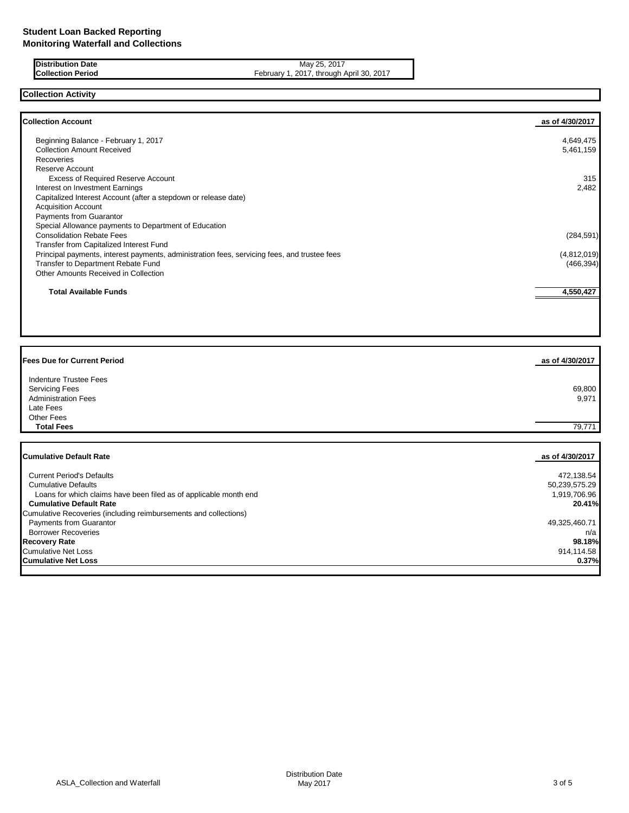## **Distribution Date** May 25, 2017<br>**Collection Period** Context of Period Collection Period May 25, 2017 February 1, 2017, through April 30, 2017

# **Collection Activity**

| <b>Collection Account</b>                                                                    | as of 4/30/2017 |
|----------------------------------------------------------------------------------------------|-----------------|
| Beginning Balance - February 1, 2017                                                         | 4,649,475       |
| <b>Collection Amount Received</b>                                                            | 5,461,159       |
| <b>Recoveries</b>                                                                            |                 |
| Reserve Account                                                                              |                 |
| <b>Excess of Required Reserve Account</b>                                                    | 315             |
| Interest on Investment Earnings                                                              | 2,482           |
| Capitalized Interest Account (after a stepdown or release date)                              |                 |
| <b>Acquisition Account</b>                                                                   |                 |
| <b>Payments from Guarantor</b>                                                               |                 |
| Special Allowance payments to Department of Education                                        |                 |
| <b>Consolidation Rebate Fees</b>                                                             | (284, 591)      |
| Transfer from Capitalized Interest Fund                                                      |                 |
| Principal payments, interest payments, administration fees, servicing fees, and trustee fees | (4,812,019)     |
| Transfer to Department Rebate Fund                                                           | (466, 394)      |
| Other Amounts Received in Collection                                                         |                 |
| <b>Total Available Funds</b>                                                                 | 4,550,427       |

| <b>Fees Due for Current Period</b>                                | as of 4/30/2017 |
|-------------------------------------------------------------------|-----------------|
| <b>Indenture Trustee Fees</b>                                     |                 |
| <b>Servicing Fees</b>                                             | 69,800          |
| <b>Administration Fees</b>                                        | 9,971           |
| Late Fees                                                         |                 |
| Other Fees                                                        |                 |
| <b>Total Fees</b>                                                 | 79,771          |
| <b>Cumulative Default Rate</b>                                    | as of 4/30/2017 |
| <b>Current Period's Defaults</b>                                  | 472,138.54      |
| <b>Cumulative Defaults</b>                                        | 50,239,575.29   |
| Loans for which claims have been filed as of applicable month end | 1,919,706.96    |

 **Cumulative Default Rate 20.41%**

 Payments from Guarantor 49,325,460.71 Borrower Recoveries n/a<br> **Borrower Recoveries** n/a<br> **Borrower Rate** 198.18% **Recovery Rate 98.18%** Cumulative Net Loss 914,114.58 **Cumulative Net Loss 0.37%**

Cumulative Recoveries (including reimbursements and collections)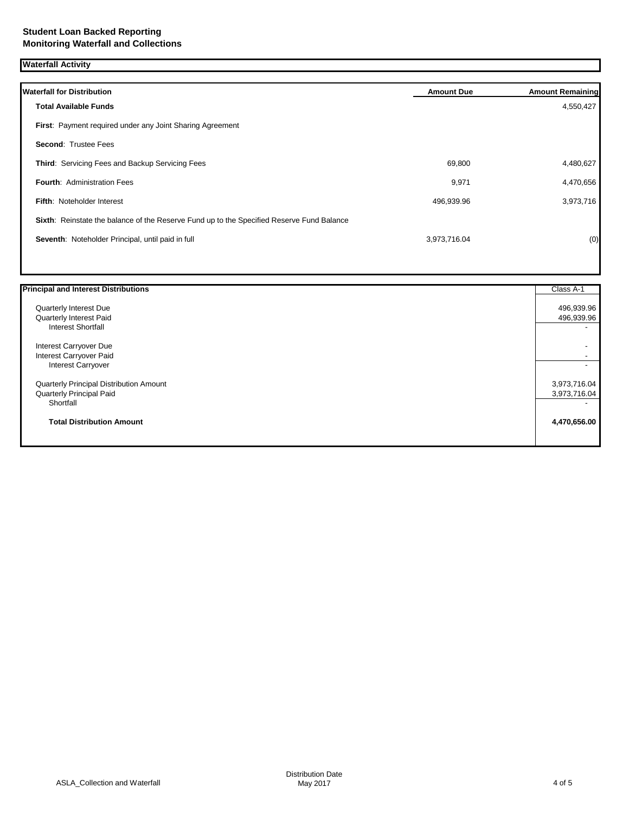**Waterfall Activity**

| <b>Waterfall for Distribution</b>                                                         | <b>Amount Due</b> | <b>Amount Remaining</b> |
|-------------------------------------------------------------------------------------------|-------------------|-------------------------|
| <b>Total Available Funds</b>                                                              |                   | 4,550,427               |
| First: Payment required under any Joint Sharing Agreement                                 |                   |                         |
| <b>Second: Trustee Fees</b>                                                               |                   |                         |
| Third: Servicing Fees and Backup Servicing Fees                                           | 69,800            | 4,480,627               |
| <b>Fourth: Administration Fees</b>                                                        | 9,971             | 4,470,656               |
| <b>Fifth: Noteholder Interest</b>                                                         | 496,939.96        | 3,973,716               |
| Sixth: Reinstate the balance of the Reserve Fund up to the Specified Reserve Fund Balance |                   |                         |
| Seventh: Noteholder Principal, until paid in full                                         | 3,973,716.04      | (0)                     |
|                                                                                           |                   |                         |

| <b>Principal and Interest Distributions</b> | Class A-1    |
|---------------------------------------------|--------------|
| Quarterly Interest Due                      | 496,939.96   |
| Quarterly Interest Paid                     | 496,939.96   |
| <b>Interest Shortfall</b>                   |              |
| Interest Carryover Due                      |              |
| Interest Carryover Paid                     |              |
| Interest Carryover                          |              |
| Quarterly Principal Distribution Amount     | 3,973,716.04 |
| <b>Quarterly Principal Paid</b>             | 3,973,716.04 |
| Shortfall                                   |              |
| <b>Total Distribution Amount</b>            | 4,470,656.00 |
|                                             |              |